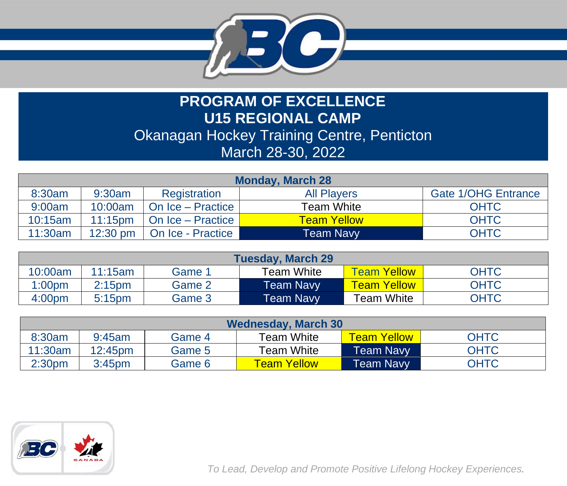

## **PROGRAM OF EXCELLENCE U15 REGIONAL CAMP** Okanagan Hockey Training Centre, Penticton March 28-30, 2022

| <b>Monday, March 28</b>                                                              |            |                              |                    |             |  |
|--------------------------------------------------------------------------------------|------------|------------------------------|--------------------|-------------|--|
| <b>Gate 1/OHG Entrance</b><br>8:30am<br><b>All Players</b><br>9:30am<br>Registration |            |                              |                    |             |  |
| 9:00am                                                                               | 10:00am    | On Ice - Practice            | <b>Team White</b>  | <b>OHTC</b> |  |
| 10:15am                                                                              | $11:15$ pm | On Ice - Practice            | <b>Team Yellow</b> | <b>OHTC</b> |  |
| 11:30am                                                                              |            | 12:30 pm   On Ice - Practice | Team Navy          | <b>OHTC</b> |  |

| <b>Tuesday, March 29</b> |                    |        |                   |                    |             |  |  |
|--------------------------|--------------------|--------|-------------------|--------------------|-------------|--|--|
| 10:00am                  | 11:15am            | Game 1 | <b>Team White</b> | Team Yellow        | <b>OHTC</b> |  |  |
| 1:00 <sub>pm</sub>       | 2:15 <sub>pm</sub> | Game 2 | Team Navy         | <b>Team Yellow</b> | <b>OHTC</b> |  |  |
| 4:00 <sub>pm</sub>       | 5:15 <sub>pm</sub> | Game 3 | Team Navv         | $\tau$ eam White   | <b>OHTC</b> |  |  |

| <b>Wednesday, March 30</b> |                     |        |                    |                  |             |  |  |
|----------------------------|---------------------|--------|--------------------|------------------|-------------|--|--|
| 8:30am                     | 9:45am              | Game 4 | <b>Team White</b>  | Team Yellow      | <b>OHTC</b> |  |  |
| 11:30am                    | 12:45 <sub>pm</sub> | Game 5 | <b>Team White</b>  | <b>Team Navy</b> | <b>OHTC</b> |  |  |
| 2:30 <sub>pm</sub>         | 3:45 <sub>pm</sub>  | Game 6 | <b>Team Yellow</b> | <b>Team Navy</b> | <b>OHTC</b> |  |  |



*To Lead, Develop and Promote Positive Lifelong Hockey Experiences.*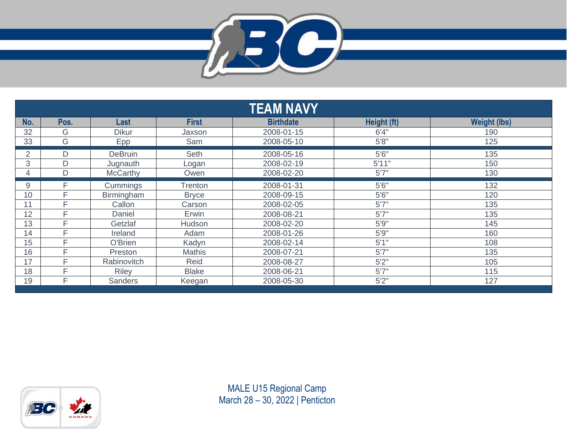

|     |      |                 |                | <b>TEAM NAVY</b> |             |                     |
|-----|------|-----------------|----------------|------------------|-------------|---------------------|
| No. | Pos. | Last            | <b>First</b>   | <b>Birthdate</b> | Height (ft) | <b>Weight (lbs)</b> |
| 32  | G    | <b>Dikur</b>    | Jaxson         | 2008-01-15       | 6'4''       | 190                 |
| 33  | G    | Epp             | Sam            | 2008-05-10       | 5'8"        | 125                 |
| 2   | D    | <b>DeBruin</b>  | Seth           | 2008-05-16       | 5'6''       | 135                 |
| 3   | D    | Jugnauth        | Logan          | 2008-02-19       | 5'11"       | 150                 |
| 4   | D    | <b>McCarthy</b> | Owen           | 2008-02-20       | 5'7''       | 130                 |
| 9   | Е    | Cummings        | <b>Trenton</b> | 2008-01-31       | 5'6''       | 132                 |
| 10  | Е    | Birmingham      | <b>Bryce</b>   | 2008-09-15       | 5'6''       | 120                 |
| 11  | Е    | Callon          | Carson         | 2008-02-05       | 5'7''       | 135                 |
| 12  | E    | Daniel          | Erwin          | 2008-08-21       | 5'7''       | 135                 |
| 13  | Е    | Getzlaf         | Hudson         | 2008-02-20       | 5'9''       | 145                 |
| 14  | Е    | Ireland         | Adam           | 2008-01-26       | 5'9''       | 160                 |
| 15  | Е    | O'Brien         | Kadyn          | 2008-02-14       | 5'1''       | 108                 |
| 16  | F    | Preston         | <b>Mathis</b>  | 2008-07-21       | 5'7''       | 135                 |
| 17  | Е    | Rabinovitch     | Reid           | 2008-08-27       | 5'2''       | 105                 |
| 18  | Е    | <b>Riley</b>    | <b>Blake</b>   | 2008-06-21       | 5'7''       | 115                 |
| 19  | Е    | <b>Sanders</b>  | Keegan         | 2008-05-30       | 5'2''       | 127                 |

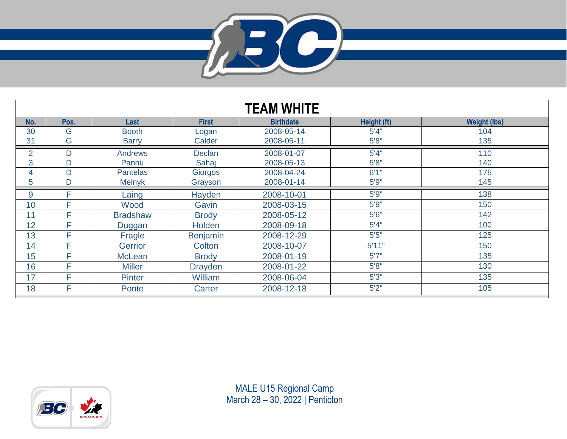

| <b>TEAM WHITE</b> |      |                 |                 |                  |             |                     |  |
|-------------------|------|-----------------|-----------------|------------------|-------------|---------------------|--|
| No.               | Pos. | Last            | <b>First</b>    | <b>Birthdate</b> | Height (ft) | <b>Weight (lbs)</b> |  |
| 30                | G    | <b>Booth</b>    | Logan           | 2008-05-14       | 5'4''       | 104                 |  |
| 31                | G    | <b>Barry</b>    | Calder          | 2008-05-11       | 5'8''       | 135                 |  |
| $\overline{2}$    | D    | <b>Andrews</b>  | <b>Declan</b>   | 2008-01-07       | 5'4''       | 110                 |  |
| 3                 | D    | Pannu           | Sahaj           | 2008-05-13       | 5'8''       | 140                 |  |
| 4                 | D    | <b>Pantelas</b> | Giorgos         | 2008-04-24       | 6'1"        | 175                 |  |
| 5                 | D    | <b>Melnyk</b>   | Grayson         | 2008-01-14       | 5'9''       | 145                 |  |
| 9                 | F    | Laing           | Hayden          | 2008-10-01       | 5'9''       | 138                 |  |
| 10                | F    | Wood            | Gavin           | 2008-03-15       | 5'9''       | 150                 |  |
| 11                | F    | <b>Bradshaw</b> | <b>Brody</b>    | 2008-05-12       | 5'6''       | 142                 |  |
| 12                | F    | Duggan          | Holden          | 2008-09-18       | 5'4''       | 100                 |  |
| 13                | F    | Fragle          | <b>Benjamin</b> | 2008-12-29       | 5'5''       | 125                 |  |
| 14                | F    | Gerrior         | Colton          | 2008-10-07       | 5'11"       | 150                 |  |
| 15                | F    | <b>McLean</b>   | <b>Brody</b>    | 2008-01-19       | 5'7''       | 135                 |  |
| 16                | Е    | <b>Miller</b>   | <b>Drayden</b>  | 2008-01-22       | 5'8''       | 130                 |  |
| 17                | F    | <b>Pinter</b>   | William         | 2008-06-04       | 5'3''       | 135                 |  |
| 18                | F    | Ponte           | Carter          | 2008-12-18       | 5'2"        | 105                 |  |